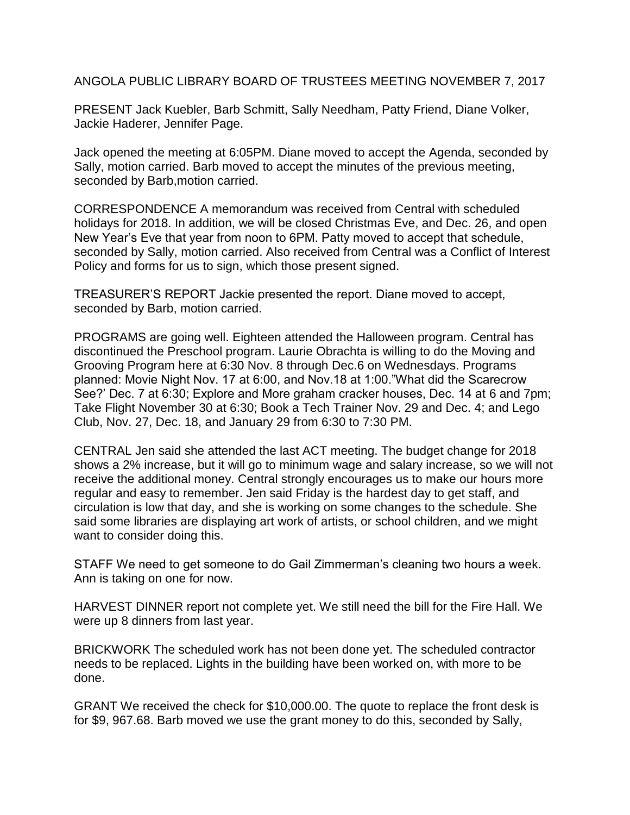ANGOLA PUBLIC LIBRARY BOARD OF TRUSTEES MEETING NOVEMBER 7, 2017

PRESENT Jack Kuebler, Barb Schmitt, Sally Needham, Patty Friend, Diane Volker, Jackie Haderer, Jennifer Page.

Jack opened the meeting at 6:05PM. Diane moved to accept the Agenda, seconded by Sally, motion carried. Barb moved to accept the minutes of the previous meeting, seconded by Barb,motion carried.

CORRESPONDENCE A memorandum was received from Central with scheduled holidays for 2018. In addition, we will be closed Christmas Eve, and Dec. 26, and open New Year's Eve that year from noon to 6PM. Patty moved to accept that schedule, seconded by Sally, motion carried. Also received from Central was a Conflict of Interest Policy and forms for us to sign, which those present signed.

TREASURER'S REPORT Jackie presented the report. Diane moved to accept, seconded by Barb, motion carried.

PROGRAMS are going well. Eighteen attended the Halloween program. Central has discontinued the Preschool program. Laurie Obrachta is willing to do the Moving and Grooving Program here at 6:30 Nov. 8 through Dec.6 on Wednesdays. Programs planned: Movie Night Nov. 17 at 6:00, and Nov.18 at 1:00."What did the Scarecrow See?' Dec. 7 at 6:30; Explore and More graham cracker houses, Dec. 14 at 6 and 7pm; Take Flight November 30 at 6:30; Book a Tech Trainer Nov. 29 and Dec. 4; and Lego Club, Nov. 27, Dec. 18, and January 29 from 6:30 to 7:30 PM.

CENTRAL Jen said she attended the last ACT meeting. The budget change for 2018 shows a 2% increase, but it will go to minimum wage and salary increase, so we will not receive the additional money. Central strongly encourages us to make our hours more regular and easy to remember. Jen said Friday is the hardest day to get staff, and circulation is low that day, and she is working on some changes to the schedule. She said some libraries are displaying art work of artists, or school children, and we might want to consider doing this.

STAFF We need to get someone to do Gail Zimmerman's cleaning two hours a week. Ann is taking on one for now.

HARVEST DINNER report not complete yet. We still need the bill for the Fire Hall. We were up 8 dinners from last year.

BRICKWORK The scheduled work has not been done yet. The scheduled contractor needs to be replaced. Lights in the building have been worked on, with more to be done.

GRANT We received the check for \$10,000.00. The quote to replace the front desk is for \$9, 967.68. Barb moved we use the grant money to do this, seconded by Sally,